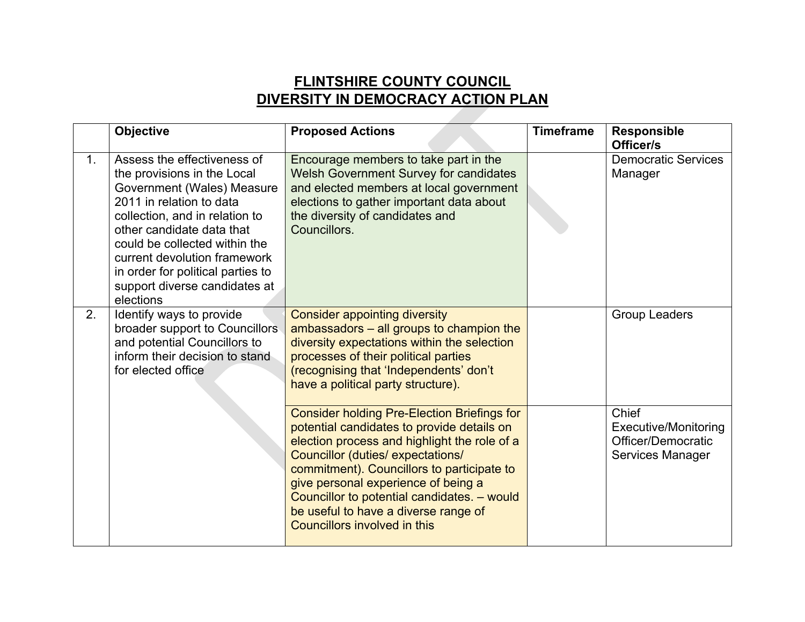## **FLINTSHIRE COUNTY COUNCIL DIVERSITY IN DEMOCRACY ACTION PLAN**

|    | Objective                                                                                                                                                                                                                                                                                                                               | <b>Proposed Actions</b>                                                                                                                                                                                                                                                                                                                                                                                 | <b>Timeframe</b> | <b>Responsible</b><br>Officer/s                                                |
|----|-----------------------------------------------------------------------------------------------------------------------------------------------------------------------------------------------------------------------------------------------------------------------------------------------------------------------------------------|---------------------------------------------------------------------------------------------------------------------------------------------------------------------------------------------------------------------------------------------------------------------------------------------------------------------------------------------------------------------------------------------------------|------------------|--------------------------------------------------------------------------------|
| 1. | Assess the effectiveness of<br>the provisions in the Local<br>Government (Wales) Measure<br>2011 in relation to data<br>collection, and in relation to<br>other candidate data that<br>could be collected within the<br>current devolution framework<br>in order for political parties to<br>support diverse candidates at<br>elections | Encourage members to take part in the<br><b>Welsh Government Survey for candidates</b><br>and elected members at local government<br>elections to gather important data about<br>the diversity of candidates and<br>Councillors.                                                                                                                                                                        |                  | <b>Democratic Services</b><br>Manager                                          |
| 2. | Identify ways to provide<br>broader support to Councillors<br>and potential Councillors to<br>inform their decision to stand<br>for elected office                                                                                                                                                                                      | <b>Consider appointing diversity</b><br>ambassadors - all groups to champion the<br>diversity expectations within the selection<br>processes of their political parties<br>(recognising that 'Independents' don't<br>have a political party structure).                                                                                                                                                 |                  | <b>Group Leaders</b>                                                           |
|    |                                                                                                                                                                                                                                                                                                                                         | <b>Consider holding Pre-Election Briefings for</b><br>potential candidates to provide details on<br>election process and highlight the role of a<br>Councillor (duties/expectations/<br>commitment). Councillors to participate to<br>give personal experience of being a<br>Councillor to potential candidates. - would<br>be useful to have a diverse range of<br><b>Councillors involved in this</b> |                  | Chief<br><b>Executive/Monitoring</b><br>Officer/Democratic<br>Services Manager |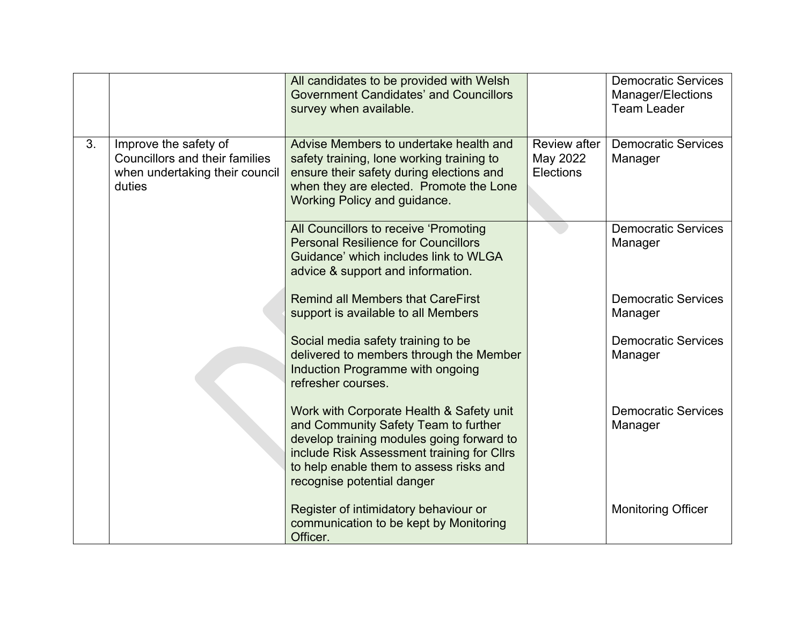|    |                                                                                                            | All candidates to be provided with Welsh<br><b>Government Candidates' and Councillors</b><br>survey when available.                                                                                                                                  |                                                     | <b>Democratic Services</b><br>Manager/Elections<br><b>Team Leader</b> |
|----|------------------------------------------------------------------------------------------------------------|------------------------------------------------------------------------------------------------------------------------------------------------------------------------------------------------------------------------------------------------------|-----------------------------------------------------|-----------------------------------------------------------------------|
| 3. | Improve the safety of<br><b>Councillors and their families</b><br>when undertaking their council<br>duties | Advise Members to undertake health and<br>safety training, lone working training to<br>ensure their safety during elections and<br>when they are elected. Promote the Lone<br>Working Policy and guidance.                                           | <b>Review after</b><br>May 2022<br><b>Elections</b> | <b>Democratic Services</b><br>Manager                                 |
|    |                                                                                                            | All Councillors to receive 'Promoting<br><b>Personal Resilience for Councillors</b><br>Guidance' which includes link to WLGA<br>advice & support and information.                                                                                    |                                                     | <b>Democratic Services</b><br>Manager                                 |
|    |                                                                                                            | <b>Remind all Members that CareFirst</b><br>support is available to all Members                                                                                                                                                                      |                                                     | <b>Democratic Services</b><br>Manager                                 |
|    |                                                                                                            | Social media safety training to be<br>delivered to members through the Member<br>Induction Programme with ongoing<br>refresher courses.                                                                                                              |                                                     | <b>Democratic Services</b><br>Manager                                 |
|    |                                                                                                            | Work with Corporate Health & Safety unit<br>and Community Safety Team to further<br>develop training modules going forward to<br>include Risk Assessment training for Cllrs<br>to help enable them to assess risks and<br>recognise potential danger |                                                     | <b>Democratic Services</b><br>Manager                                 |
|    |                                                                                                            | Register of intimidatory behaviour or<br>communication to be kept by Monitoring<br>Officer.                                                                                                                                                          |                                                     | <b>Monitoring Officer</b>                                             |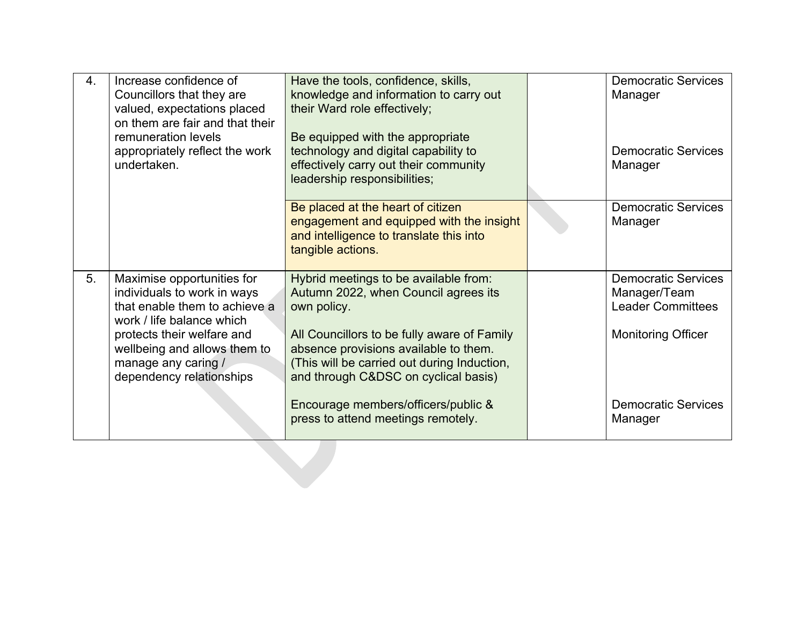| 4. | Increase confidence of<br>Councillors that they are<br>valued, expectations placed<br>on them are fair and that their<br>remuneration levels<br>appropriately reflect the work<br>undertaken.                                            | Have the tools, confidence, skills,<br>knowledge and information to carry out<br>their Ward role effectively;<br>Be equipped with the appropriate<br>technology and digital capability to<br>effectively carry out their community<br>leadership responsibilities;                                                 | <b>Democratic Services</b><br>Manager<br><b>Democratic Services</b><br>Manager                                                    |
|----|------------------------------------------------------------------------------------------------------------------------------------------------------------------------------------------------------------------------------------------|--------------------------------------------------------------------------------------------------------------------------------------------------------------------------------------------------------------------------------------------------------------------------------------------------------------------|-----------------------------------------------------------------------------------------------------------------------------------|
|    |                                                                                                                                                                                                                                          | Be placed at the heart of citizen<br>engagement and equipped with the insight<br>and intelligence to translate this into<br>tangible actions.                                                                                                                                                                      | <b>Democratic Services</b><br>Manager                                                                                             |
| 5. | Maximise opportunities for<br>individuals to work in ways<br>that enable them to achieve a<br>work / life balance which<br>protects their welfare and<br>wellbeing and allows them to<br>manage any caring /<br>dependency relationships | Hybrid meetings to be available from:<br>Autumn 2022, when Council agrees its<br>own policy.<br>All Councillors to be fully aware of Family<br>absence provisions available to them.<br>(This will be carried out during Induction,<br>and through C&DSC on cyclical basis)<br>Encourage members/officers/public & | <b>Democratic Services</b><br>Manager/Team<br><b>Leader Committees</b><br><b>Monitoring Officer</b><br><b>Democratic Services</b> |
|    |                                                                                                                                                                                                                                          | press to attend meetings remotely.                                                                                                                                                                                                                                                                                 | Manager                                                                                                                           |
|    |                                                                                                                                                                                                                                          |                                                                                                                                                                                                                                                                                                                    |                                                                                                                                   |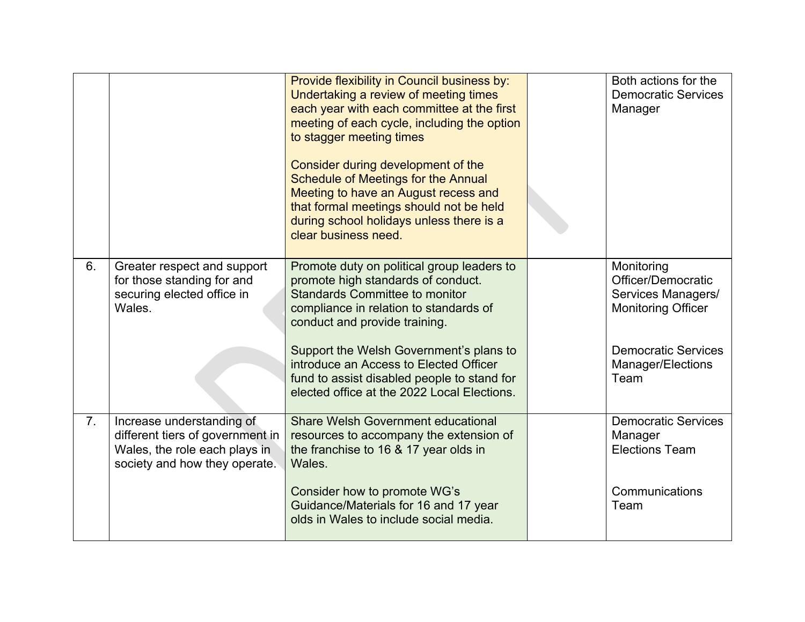|    |                                                                                                                                 | Provide flexibility in Council business by:<br>Undertaking a review of meeting times<br>each year with each committee at the first<br>meeting of each cycle, including the option<br>to stagger meeting times<br>Consider during development of the<br><b>Schedule of Meetings for the Annual</b><br>Meeting to have an August recess and<br>that formal meetings should not be held<br>during school holidays unless there is a<br>clear business need. | Both actions for the<br><b>Democratic Services</b><br>Manager                       |
|----|---------------------------------------------------------------------------------------------------------------------------------|----------------------------------------------------------------------------------------------------------------------------------------------------------------------------------------------------------------------------------------------------------------------------------------------------------------------------------------------------------------------------------------------------------------------------------------------------------|-------------------------------------------------------------------------------------|
| 6. | Greater respect and support<br>for those standing for and<br>securing elected office in<br>Wales.                               | Promote duty on political group leaders to<br>promote high standards of conduct.<br><b>Standards Committee to monitor</b><br>compliance in relation to standards of<br>conduct and provide training.                                                                                                                                                                                                                                                     | Monitoring<br>Officer/Democratic<br>Services Managers/<br><b>Monitoring Officer</b> |
|    |                                                                                                                                 | Support the Welsh Government's plans to<br>introduce an Access to Elected Officer<br>fund to assist disabled people to stand for<br>elected office at the 2022 Local Elections.                                                                                                                                                                                                                                                                          | <b>Democratic Services</b><br>Manager/Elections<br>Team                             |
| 7. | Increase understanding of<br>different tiers of government in<br>Wales, the role each plays in<br>society and how they operate. | <b>Share Welsh Government educational</b><br>resources to accompany the extension of<br>the franchise to 16 & 17 year olds in<br>Wales.                                                                                                                                                                                                                                                                                                                  | <b>Democratic Services</b><br>Manager<br><b>Elections Team</b>                      |
|    |                                                                                                                                 | Consider how to promote WG's<br>Guidance/Materials for 16 and 17 year<br>olds in Wales to include social media.                                                                                                                                                                                                                                                                                                                                          | Communications<br>Team                                                              |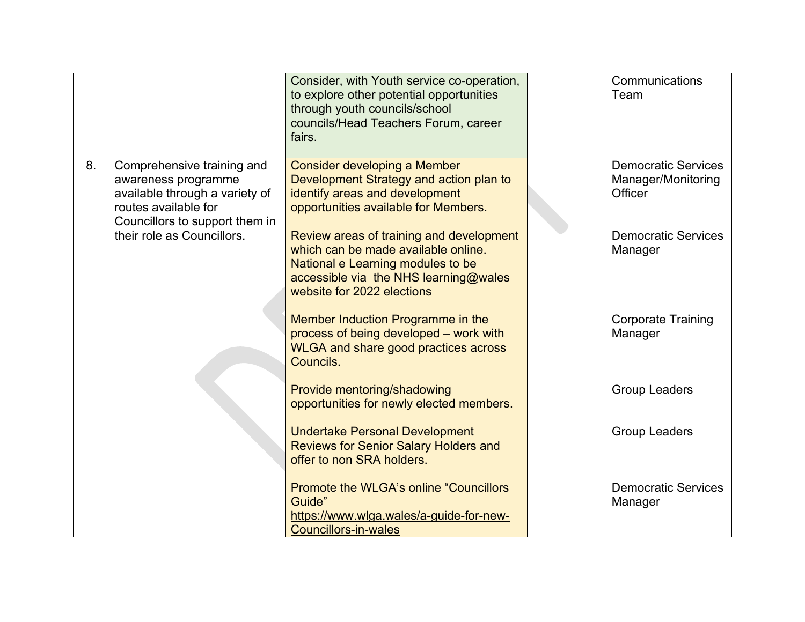|    |                                                                                                                                               | Consider, with Youth service co-operation,<br>to explore other potential opportunities<br>through youth councils/school<br>councils/Head Teachers Forum, career<br>fairs.                   | Communications<br>Team                                      |
|----|-----------------------------------------------------------------------------------------------------------------------------------------------|---------------------------------------------------------------------------------------------------------------------------------------------------------------------------------------------|-------------------------------------------------------------|
| 8. | Comprehensive training and<br>awareness programme<br>available through a variety of<br>routes available for<br>Councillors to support them in | <b>Consider developing a Member</b><br>Development Strategy and action plan to<br>identify areas and development<br>opportunities available for Members.                                    | <b>Democratic Services</b><br>Manager/Monitoring<br>Officer |
|    | their role as Councillors.                                                                                                                    | Review areas of training and development<br>which can be made available online.<br>National e Learning modules to be<br>accessible via the NHS learning@wales<br>website for 2022 elections | <b>Democratic Services</b><br>Manager                       |
|    |                                                                                                                                               | Member Induction Programme in the<br>process of being developed - work with<br><b>WLGA and share good practices across</b><br>Councils.                                                     | <b>Corporate Training</b><br>Manager                        |
|    |                                                                                                                                               | Provide mentoring/shadowing<br>opportunities for newly elected members.                                                                                                                     | <b>Group Leaders</b>                                        |
|    |                                                                                                                                               | <b>Undertake Personal Development</b><br><b>Reviews for Senior Salary Holders and</b><br>offer to non SRA holders.                                                                          | <b>Group Leaders</b>                                        |
|    |                                                                                                                                               | <b>Promote the WLGA's online "Councillors"</b><br>Guide"<br>https://www.wlga.wales/a-guide-for-new-<br><b>Councillors-in-wales</b>                                                          | <b>Democratic Services</b><br>Manager                       |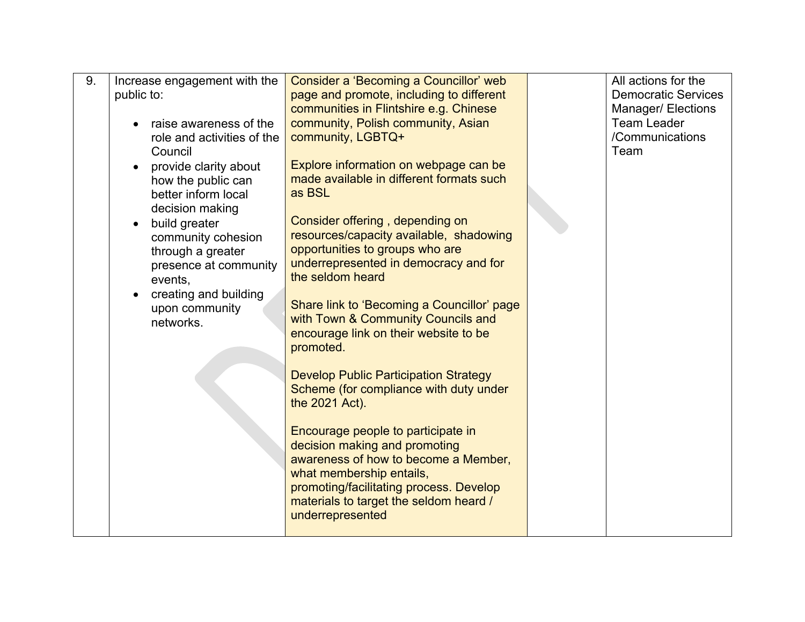| 9. | Increase engagement with the<br>public to:<br>raise awareness of the<br>role and activities of the<br>Council<br>provide clarity about<br>how the public can<br>better inform local<br>decision making<br>build greater<br>community cohesion<br>through a greater<br>presence at community<br>events,<br>creating and building<br>upon community<br>networks. | Consider a 'Becoming a Councillor' web<br>page and promote, including to different<br>communities in Flintshire e.g. Chinese<br>community, Polish community, Asian<br>community, LGBTQ+<br>Explore information on webpage can be<br>made available in different formats such<br>as BSL<br>Consider offering, depending on<br>resources/capacity available, shadowing<br>opportunities to groups who are<br>underrepresented in democracy and for<br>the seldom heard<br>Share link to 'Becoming a Councillor' page<br>with Town & Community Councils and | All actions for the<br><b>Democratic Services</b><br><b>Manager/ Elections</b><br><b>Team Leader</b><br>/Communications<br>Team |
|----|----------------------------------------------------------------------------------------------------------------------------------------------------------------------------------------------------------------------------------------------------------------------------------------------------------------------------------------------------------------|----------------------------------------------------------------------------------------------------------------------------------------------------------------------------------------------------------------------------------------------------------------------------------------------------------------------------------------------------------------------------------------------------------------------------------------------------------------------------------------------------------------------------------------------------------|---------------------------------------------------------------------------------------------------------------------------------|
|    |                                                                                                                                                                                                                                                                                                                                                                | encourage link on their website to be<br>promoted.<br><b>Develop Public Participation Strategy</b><br>Scheme (for compliance with duty under<br>the 2021 Act).<br>Encourage people to participate in<br>decision making and promoting<br>awareness of how to become a Member,<br>what membership entails,<br>promoting/facilitating process. Develop<br>materials to target the seldom heard /<br>underrepresented                                                                                                                                       |                                                                                                                                 |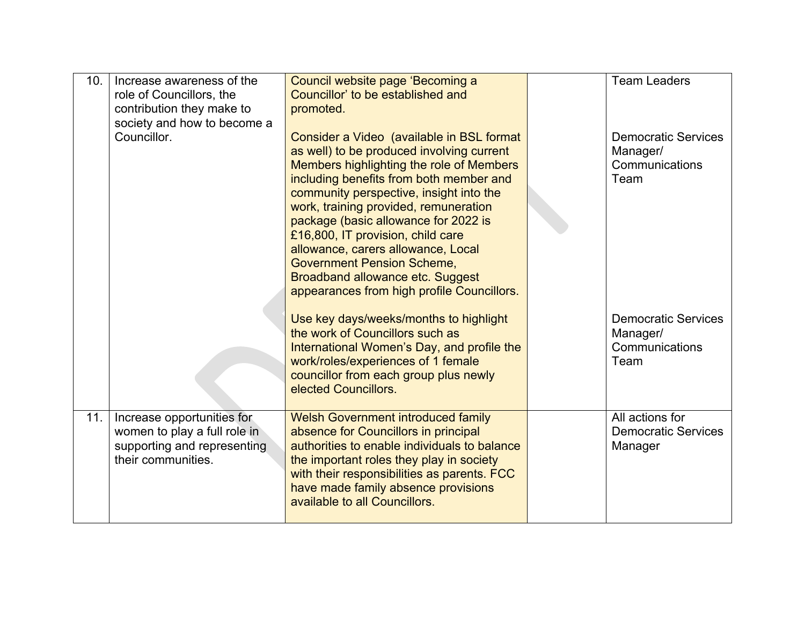| 10. | Increase awareness of the<br>role of Councillors, the<br>contribution they make to<br>society and how to become a | Council website page 'Becoming a<br>Councillor' to be established and<br>promoted.                                                                                                                                                                                                                                                                                                                                                                                                                                 | <b>Team Leaders</b>                                              |
|-----|-------------------------------------------------------------------------------------------------------------------|--------------------------------------------------------------------------------------------------------------------------------------------------------------------------------------------------------------------------------------------------------------------------------------------------------------------------------------------------------------------------------------------------------------------------------------------------------------------------------------------------------------------|------------------------------------------------------------------|
|     | Councillor.                                                                                                       | Consider a Video (available in BSL format<br>as well) to be produced involving current<br>Members highlighting the role of Members<br>including benefits from both member and<br>community perspective, insight into the<br>work, training provided, remuneration<br>package (basic allowance for 2022 is<br>£16,800, IT provision, child care<br>allowance, carers allowance, Local<br><b>Government Pension Scheme,</b><br><b>Broadband allowance etc. Suggest</b><br>appearances from high profile Councillors. | <b>Democratic Services</b><br>Manager/<br>Communications<br>Team |
|     |                                                                                                                   | Use key days/weeks/months to highlight<br>the work of Councillors such as<br>International Women's Day, and profile the<br>work/roles/experiences of 1 female<br>councillor from each group plus newly<br>elected Councillors.                                                                                                                                                                                                                                                                                     | <b>Democratic Services</b><br>Manager/<br>Communications<br>Team |
| 11. | Increase opportunities for<br>women to play a full role in<br>supporting and representing<br>their communities.   | <b>Welsh Government introduced family</b><br>absence for Councillors in principal<br>authorities to enable individuals to balance<br>the important roles they play in society<br>with their responsibilities as parents. FCC<br>have made family absence provisions<br>available to all Councillors.                                                                                                                                                                                                               | All actions for<br><b>Democratic Services</b><br>Manager         |